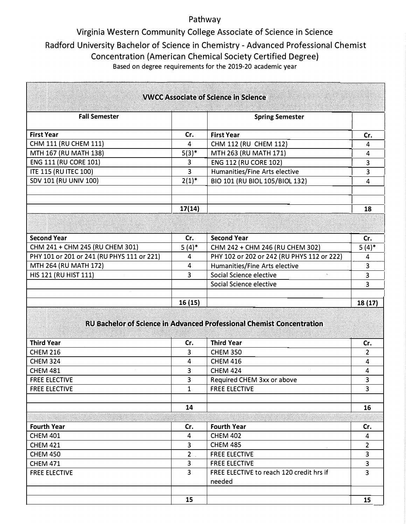## Pathway

## Virginia Western Community College Associate of Science in Science Radford University Bachelor of Science in Chemistry - Advanced Professional Chemist Concentration (American Chemical Society Certified Degree) Based on degree requirements for the 2019-20 academic year

|                                            |                         | <b>VWCC Associate of Science in Science</b>                                  |                         |
|--------------------------------------------|-------------------------|------------------------------------------------------------------------------|-------------------------|
| <b>Fall Semester</b>                       |                         | <b>Spring Semester</b>                                                       |                         |
| <b>First Year</b>                          | Cr.                     | <b>First Year</b>                                                            | Cr.                     |
| CHM 111 (RU CHEM 111)                      | 4                       | CHM 112 (RU CHEM 112)                                                        | 4                       |
| MTH 167 (RU MATH 138)                      | $5(3)^*$                | MTH 263 (RU MATH 171)                                                        | $\overline{\mathbf{4}}$ |
| <b>ENG 111 (RU CORE 101)</b>               | 3                       | <b>ENG 112 (RU CORE 102)</b>                                                 | 3                       |
| <b>ITE 115 (RU ITEC 100)</b>               | 3                       | Humanities/Fine Arts elective                                                | 3                       |
| SDV 101 (RU UNIV 100)                      | $2(1)^*$                | BIO 101 (RU BIOL 105/BIOL 132)                                               | 4                       |
|                                            | 17(14)                  |                                                                              | 18                      |
| <b>Second Year</b>                         | Cr.                     | <b>Second Year</b>                                                           | Cr.                     |
| CHM 241 + CHM 245 (RU CHEM 301)            | $5(4)$ *                | CHM 242 + CHM 246 (RU CHEM 302)                                              | $5(4)$ *                |
| PHY 101 or 201 or 241 (RU PHYS 111 or 221) | 4                       | PHY 102 or 202 or 242 (RU PHYS 112 or 222)                                   | 4                       |
| MTH 264 (RU MATH 172)                      | $\overline{4}$          | Humanities/Fine Arts elective                                                | 3                       |
| HIS 121 (RU HIST 111)                      | 3                       | Social Science elective<br>$\sim$ $^{\circ}$                                 | 3                       |
|                                            |                         | Social Science elective                                                      | 3                       |
|                                            | 16 (15)                 |                                                                              | 18 (17)                 |
|                                            |                         | <b>RU Bachelor of Science in Advanced Professional Chemist Concentration</b> |                         |
| <b>Third Year</b>                          | Cr.                     | <b>Third Year</b>                                                            | Cr.                     |
| <b>CHEM 216</b>                            | 3                       | <b>CHEM 350</b>                                                              | 2                       |
| <b>CHEM 324</b>                            | $\overline{\mathbf{4}}$ | <b>CHEM 416</b>                                                              | 4                       |
| <b>CHEM 481</b>                            | 3                       | <b>CHEM 424</b>                                                              |                         |
| <b>FREE ELECTIVE</b>                       | 3                       | Required CHEM 3xx or above                                                   | 4                       |
| <b>FREE ELECTIVE</b>                       |                         |                                                                              | 3                       |
|                                            | $\mathbf{1}$            | <b>FREE ELECTIVE</b>                                                         | 3                       |
|                                            | 14                      |                                                                              | 16                      |
|                                            |                         |                                                                              |                         |
| <b>Fourth Year</b>                         | Cr.                     | <b>Fourth Year</b>                                                           | Cr.                     |
| <b>CHEM 401</b>                            | 4                       | <b>CHEM 402</b>                                                              | 4                       |
| <b>CHEM 421</b>                            | $\overline{3}$          | <b>CHEM 485</b>                                                              | $\overline{2}$          |
| <b>CHEM 450</b>                            | 2 <sup>1</sup>          | <b>FREE ELECTIVE</b>                                                         | $\overline{\mathbf{3}}$ |
| <b>CHEM 471</b>                            | 3                       | <b>FREE ELECTIVE</b>                                                         | $\overline{3}$          |
| <b>FREE ELECTIVE</b>                       | $\overline{3}$          | FREE ELECTIVE to reach 120 credit hrs if<br>needed                           | $\overline{3}$          |